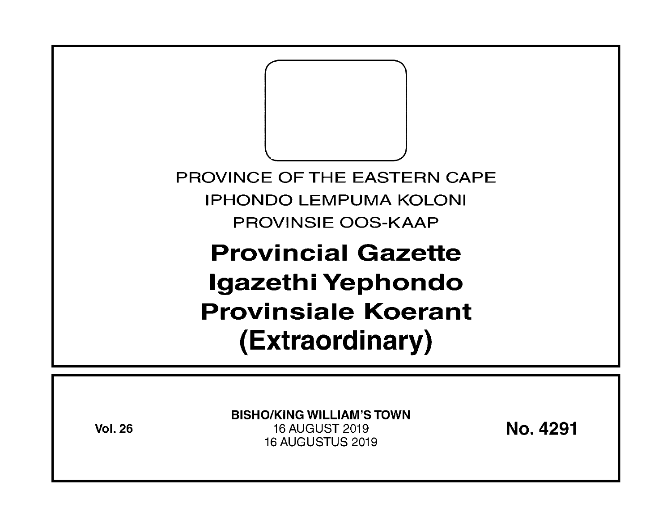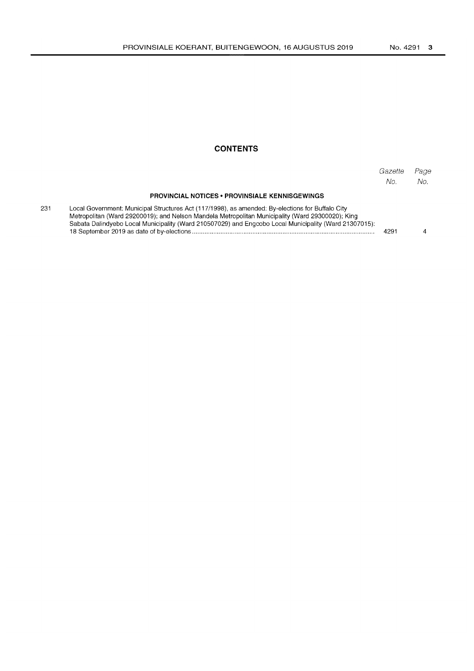## **CONTENTS**

|                                                                                                                                                                                                                                                                                                               | Gazette<br>No. | Page<br>No. |
|---------------------------------------------------------------------------------------------------------------------------------------------------------------------------------------------------------------------------------------------------------------------------------------------------------------|----------------|-------------|
| <b>PROVINCIAL NOTICES • PROVINSIALE KENNISGEWINGS</b>                                                                                                                                                                                                                                                         |                |             |
| Local Government: Municipal Structures Act (117/1998), as amended: By-elections for Buffalo City<br>Metropolitan (Ward 29200019); and Nelson Mandela Metropolitan Municipality (Ward 29300020); King<br>Sabata Dalindyebo Local Municipality (Ward 210507029) and Engcobo Local Municipality (Ward 21307015): | 4291           |             |

231